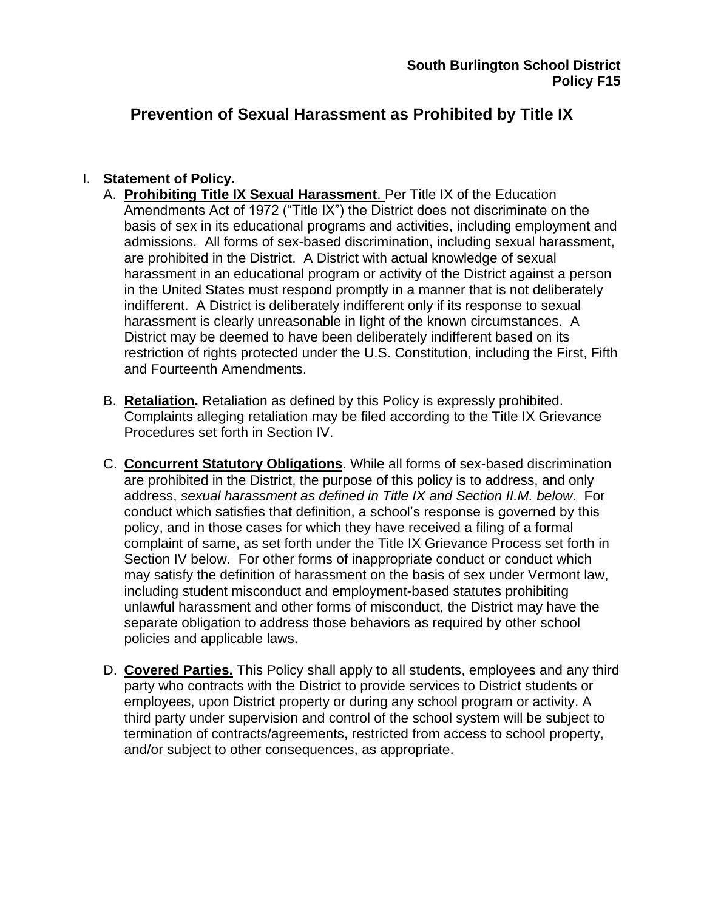# **Prevention of Sexual Harassment as Prohibited by Title IX**

#### I. **Statement of Policy.**

- A. **Prohibiting Title IX Sexual Harassment**. Per Title IX of the Education Amendments Act of 1972 ("Title IX") the District does not discriminate on the basis of sex in its educational programs and activities, including employment and admissions. All forms of sex-based discrimination, including sexual harassment, are prohibited in the District. A District with actual knowledge of sexual harassment in an educational program or activity of the District against a person in the United States must respond promptly in a manner that is not deliberately indifferent. A District is deliberately indifferent only if its response to sexual harassment is clearly unreasonable in light of the known circumstances. A District may be deemed to have been deliberately indifferent based on its restriction of rights protected under the U.S. Constitution, including the First, Fifth and Fourteenth Amendments.
- B. **Retaliation.** Retaliation as defined by this Policy is expressly prohibited. Complaints alleging retaliation may be filed according to the Title IX Grievance Procedures set forth in Section IV.
- C. **Concurrent Statutory Obligations**. While all forms of sex-based discrimination are prohibited in the District, the purpose of this policy is to address, and only address, *sexual harassment as defined in Title IX and Section II.M. below*. For conduct which satisfies that definition, a school's response is governed by this policy, and in those cases for which they have received a filing of a formal complaint of same, as set forth under the Title IX Grievance Process set forth in Section IV below. For other forms of inappropriate conduct or conduct which may satisfy the definition of harassment on the basis of sex under Vermont law, including student misconduct and employment-based statutes prohibiting unlawful harassment and other forms of misconduct, the District may have the separate obligation to address those behaviors as required by other school policies and applicable laws.
- D. **Covered Parties.** This Policy shall apply to all students, employees and any third party who contracts with the District to provide services to District students or employees, upon District property or during any school program or activity. A third party under supervision and control of the school system will be subject to termination of contracts/agreements, restricted from access to school property, and/or subject to other consequences, as appropriate.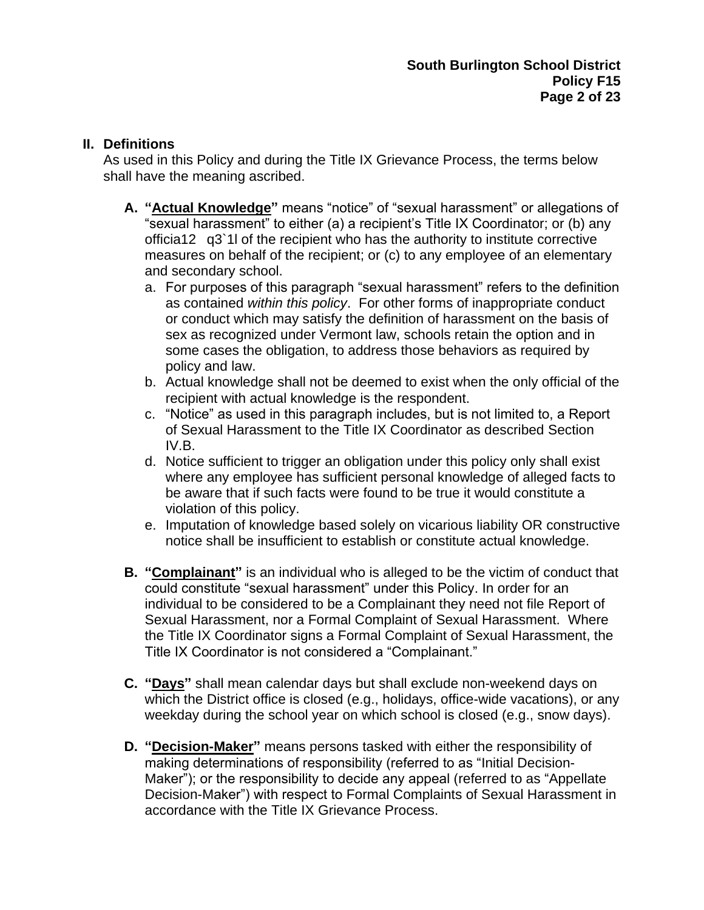#### **II. Definitions**

As used in this Policy and during the Title IX Grievance Process, the terms below shall have the meaning ascribed.

- **A. "Actual Knowledge"** means "notice" of "sexual harassment" or allegations of "sexual harassment" to either (a) a recipient's Title IX Coordinator; or (b) any officia12 q3`1l of the recipient who has the authority to institute corrective measures on behalf of the recipient; or (c) to any employee of an elementary and secondary school.
	- a. For purposes of this paragraph "sexual harassment" refers to the definition as contained *within this policy*. For other forms of inappropriate conduct or conduct which may satisfy the definition of harassment on the basis of sex as recognized under Vermont law, schools retain the option and in some cases the obligation, to address those behaviors as required by policy and law.
	- b. Actual knowledge shall not be deemed to exist when the only official of the recipient with actual knowledge is the respondent.
	- c. "Notice" as used in this paragraph includes, but is not limited to, a Report of Sexual Harassment to the Title IX Coordinator as described Section IV.B.
	- d. Notice sufficient to trigger an obligation under this policy only shall exist where any employee has sufficient personal knowledge of alleged facts to be aware that if such facts were found to be true it would constitute a violation of this policy.
	- e. Imputation of knowledge based solely on vicarious liability OR constructive notice shall be insufficient to establish or constitute actual knowledge.
- **B. "Complainant"** is an individual who is alleged to be the victim of conduct that could constitute "sexual harassment" under this Policy. In order for an individual to be considered to be a Complainant they need not file Report of Sexual Harassment, nor a Formal Complaint of Sexual Harassment. Where the Title IX Coordinator signs a Formal Complaint of Sexual Harassment, the Title IX Coordinator is not considered a "Complainant."
- **C. "Days"** shall mean calendar days but shall exclude non-weekend days on which the District office is closed (e.g., holidays, office-wide vacations), or any weekday during the school year on which school is closed (e.g., snow days).
- **D. "Decision-Maker"** means persons tasked with either the responsibility of making determinations of responsibility (referred to as "Initial Decision-Maker"); or the responsibility to decide any appeal (referred to as "Appellate Decision-Maker") with respect to Formal Complaints of Sexual Harassment in accordance with the Title IX Grievance Process.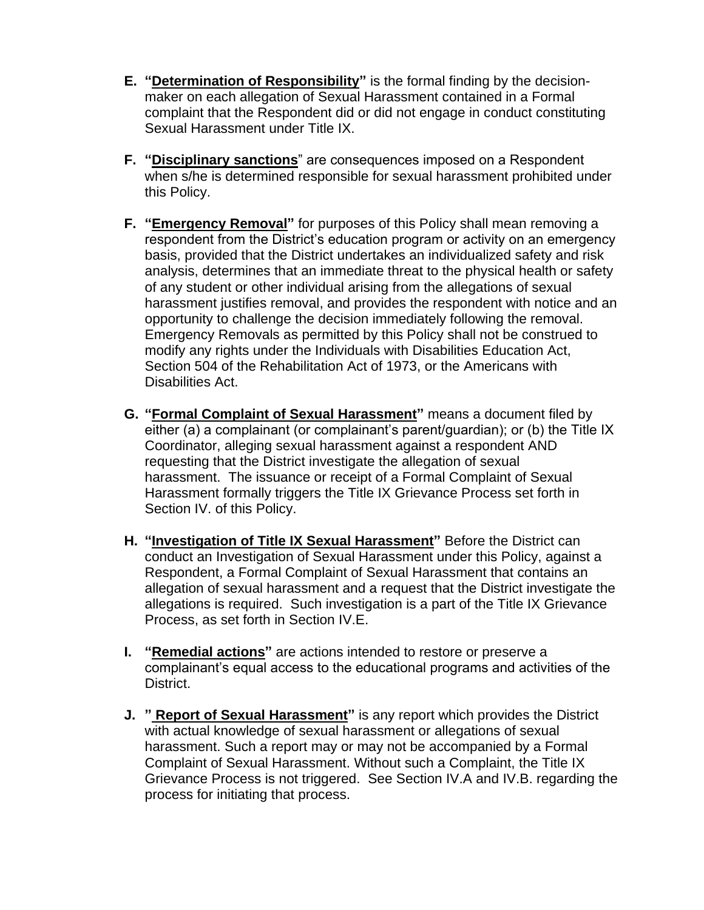- **E. "Determination of Responsibility"** is the formal finding by the decisionmaker on each allegation of Sexual Harassment contained in a Formal complaint that the Respondent did or did not engage in conduct constituting Sexual Harassment under Title IX.
- **F. "Disciplinary sanctions**" are consequences imposed on a Respondent when s/he is determined responsible for sexual harassment prohibited under this Policy.
- **F. "Emergency Removal"** for purposes of this Policy shall mean removing a respondent from the District's education program or activity on an emergency basis, provided that the District undertakes an individualized safety and risk analysis, determines that an immediate threat to the physical health or safety of any student or other individual arising from the allegations of sexual harassment justifies removal, and provides the respondent with notice and an opportunity to challenge the decision immediately following the removal. Emergency Removals as permitted by this Policy shall not be construed to modify any rights under the Individuals with Disabilities Education Act, Section 504 of the Rehabilitation Act of 1973, or the Americans with Disabilities Act.
- **G. "Formal Complaint of Sexual Harassment"** means a document filed by either (a) a complainant (or complainant's parent/guardian); or (b) the Title IX Coordinator, alleging sexual harassment against a respondent AND requesting that the District investigate the allegation of sexual harassment. The issuance or receipt of a Formal Complaint of Sexual Harassment formally triggers the Title IX Grievance Process set forth in Section IV. of this Policy.
- **H. "Investigation of Title IX Sexual Harassment"** Before the District can conduct an Investigation of Sexual Harassment under this Policy, against a Respondent, a Formal Complaint of Sexual Harassment that contains an allegation of sexual harassment and a request that the District investigate the allegations is required. Such investigation is a part of the Title IX Grievance Process, as set forth in Section IV.E.
- **I. "Remedial actions"** are actions intended to restore or preserve a complainant's equal access to the educational programs and activities of the District.
- **J. " Report of Sexual Harassment"** is any report which provides the District with actual knowledge of sexual harassment or allegations of sexual harassment. Such a report may or may not be accompanied by a Formal Complaint of Sexual Harassment. Without such a Complaint, the Title IX Grievance Process is not triggered. See Section IV.A and IV.B. regarding the process for initiating that process.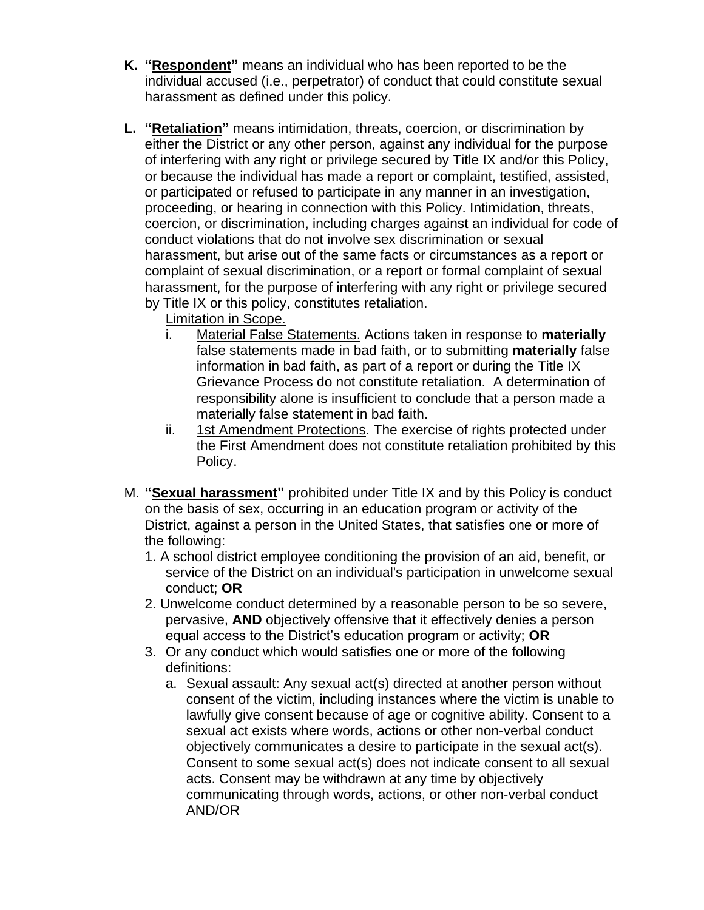- **K. "Respondent"** means an individual who has been reported to be the individual accused (i.e., perpetrator) of conduct that could constitute sexual harassment as defined under this policy.
- **L. "Retaliation"** means intimidation, threats, coercion, or discrimination by either the District or any other person, against any individual for the purpose of interfering with any right or privilege secured by Title IX and/or this Policy, or because the individual has made a report or complaint, testified, assisted, or participated or refused to participate in any manner in an investigation, proceeding, or hearing in connection with this Policy. Intimidation, threats, coercion, or discrimination, including charges against an individual for code of conduct violations that do not involve sex discrimination or sexual harassment, but arise out of the same facts or circumstances as a report or complaint of sexual discrimination, or a report or formal complaint of sexual harassment, for the purpose of interfering with any right or privilege secured by Title IX or this policy, constitutes retaliation.
	- Limitation in Scope.
	- i. Material False Statements. Actions taken in response to **materially** false statements made in bad faith, or to submitting **materially** false information in bad faith, as part of a report or during the Title IX Grievance Process do not constitute retaliation. A determination of responsibility alone is insufficient to conclude that a person made a materially false statement in bad faith.
	- ii. 1st Amendment Protections. The exercise of rights protected under the First Amendment does not constitute retaliation prohibited by this Policy.
- M. **"Sexual harassment"** prohibited under Title IX and by this Policy is conduct on the basis of sex, occurring in an education program or activity of the District, against a person in the United States, that satisfies one or more of the following:
	- 1. A school district employee conditioning the provision of an aid, benefit, or service of the District on an individual's participation in unwelcome sexual conduct; **OR**
	- 2. Unwelcome conduct determined by a reasonable person to be so severe, pervasive, **AND** objectively offensive that it effectively denies a person equal access to the District's education program or activity; **OR**
	- 3. Or any conduct which would satisfies one or more of the following definitions:
		- a. Sexual assault: Any sexual act(s) directed at another person without consent of the victim, including instances where the victim is unable to lawfully give consent because of age or cognitive ability. Consent to a sexual act exists where words, actions or other non-verbal conduct objectively communicates a desire to participate in the sexual act(s). Consent to some sexual act(s) does not indicate consent to all sexual acts. Consent may be withdrawn at any time by objectively communicating through words, actions, or other non-verbal conduct AND/OR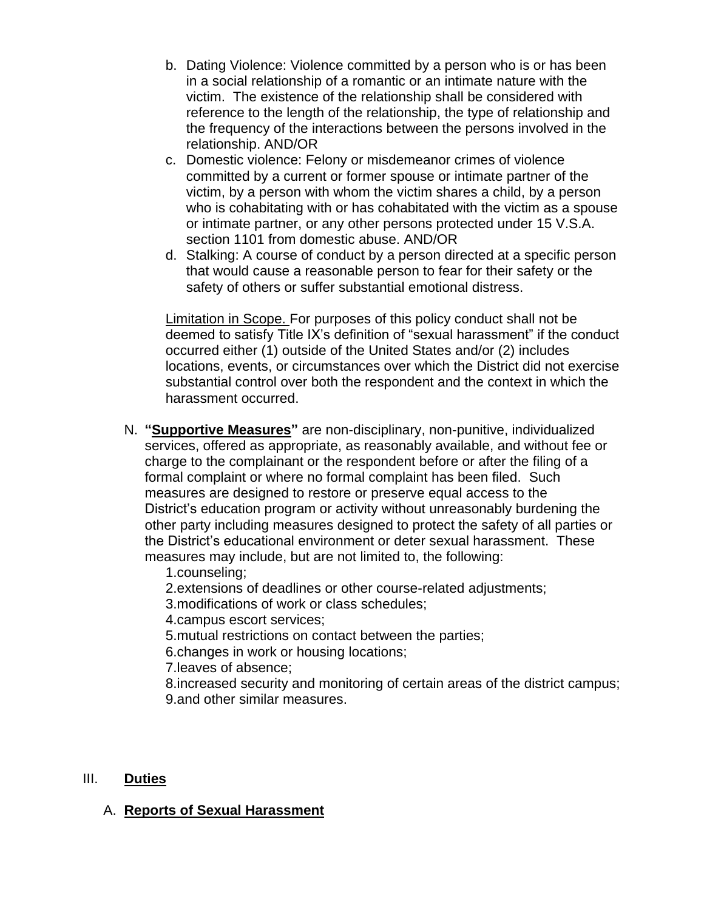- b. Dating Violence: Violence committed by a person who is or has been in a social relationship of a romantic or an intimate nature with the victim. The existence of the relationship shall be considered with reference to the length of the relationship, the type of relationship and the frequency of the interactions between the persons involved in the relationship. AND/OR
- c. Domestic violence: Felony or misdemeanor crimes of violence committed by a current or former spouse or intimate partner of the victim, by a person with whom the victim shares a child, by a person who is cohabitating with or has cohabitated with the victim as a spouse or intimate partner, or any other persons protected under 15 V.S.A. section 1101 from domestic abuse. AND/OR
- d. Stalking: A course of conduct by a person directed at a specific person that would cause a reasonable person to fear for their safety or the safety of others or suffer substantial emotional distress.

Limitation in Scope. For purposes of this policy conduct shall not be deemed to satisfy Title IX's definition of "sexual harassment" if the conduct occurred either (1) outside of the United States and/or (2) includes locations, events, or circumstances over which the District did not exercise substantial control over both the respondent and the context in which the harassment occurred.

- N. **"Supportive Measures"** are non-disciplinary, non-punitive, individualized services, offered as appropriate, as reasonably available, and without fee or charge to the complainant or the respondent before or after the filing of a formal complaint or where no formal complaint has been filed. Such measures are designed to restore or preserve equal access to the District's education program or activity without unreasonably burdening the other party including measures designed to protect the safety of all parties or the District's educational environment or deter sexual harassment. These measures may include, but are not limited to, the following:
	- 1.counseling;
	- 2.extensions of deadlines or other course-related adjustments;
	- 3.modifications of work or class schedules;
	- 4.campus escort services;
	- 5.mutual restrictions on contact between the parties;
	- 6.changes in work or housing locations;
	- 7.leaves of absence;
	- 8.increased security and monitoring of certain areas of the district campus; 9.and other similar measures.

#### III. **Duties**

#### A. **Reports of Sexual Harassment**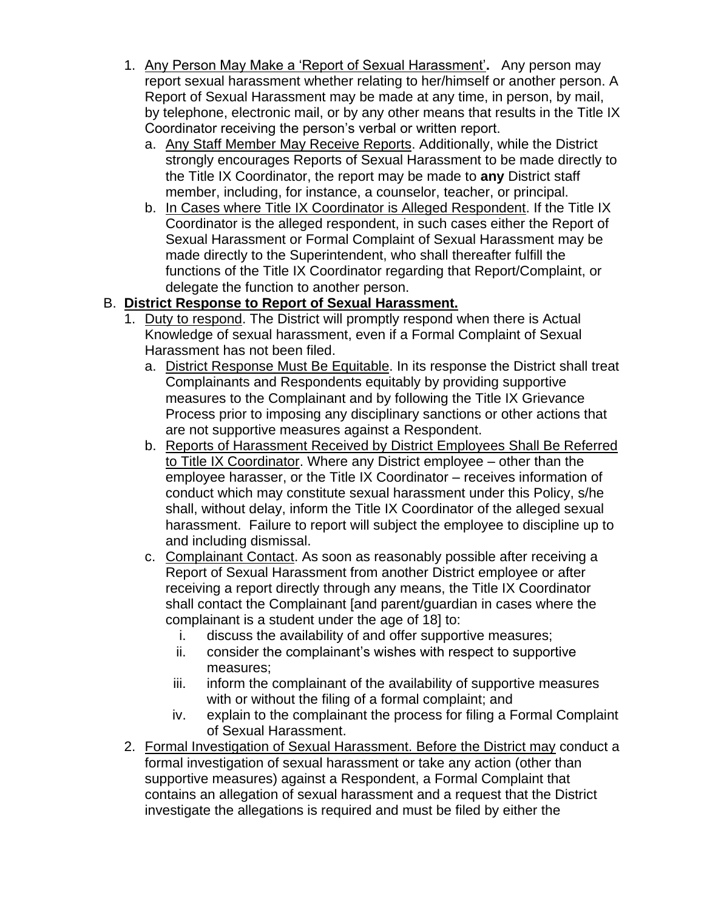- 1. Any Person May Make a 'Report of Sexual Harassment'**.** Any person may report sexual harassment whether relating to her/himself or another person. A Report of Sexual Harassment may be made at any time, in person, by mail, by telephone, electronic mail, or by any other means that results in the Title IX Coordinator receiving the person's verbal or written report.
	- a. Any Staff Member May Receive Reports. Additionally, while the District strongly encourages Reports of Sexual Harassment to be made directly to the Title IX Coordinator, the report may be made to **any** District staff member, including, for instance, a counselor, teacher, or principal.
	- b. In Cases where Title IX Coordinator is Alleged Respondent. If the Title IX Coordinator is the alleged respondent, in such cases either the Report of Sexual Harassment or Formal Complaint of Sexual Harassment may be made directly to the Superintendent, who shall thereafter fulfill the functions of the Title IX Coordinator regarding that Report/Complaint, or delegate the function to another person.

## B. **District Response to Report of Sexual Harassment.**

- 1. Duty to respond. The District will promptly respond when there is Actual Knowledge of sexual harassment, even if a Formal Complaint of Sexual Harassment has not been filed.
	- a. District Response Must Be Equitable. In its response the District shall treat Complainants and Respondents equitably by providing supportive measures to the Complainant and by following the Title IX Grievance Process prior to imposing any disciplinary sanctions or other actions that are not supportive measures against a Respondent.
	- b. Reports of Harassment Received by District Employees Shall Be Referred to Title IX Coordinator. Where any District employee – other than the employee harasser, or the Title IX Coordinator – receives information of conduct which may constitute sexual harassment under this Policy, s/he shall, without delay, inform the Title IX Coordinator of the alleged sexual harassment. Failure to report will subject the employee to discipline up to and including dismissal.
	- c. Complainant Contact. As soon as reasonably possible after receiving a Report of Sexual Harassment from another District employee or after receiving a report directly through any means, the Title IX Coordinator shall contact the Complainant [and parent/guardian in cases where the complainant is a student under the age of 18] to:
		- i. discuss the availability of and offer supportive measures;
		- ii. consider the complainant's wishes with respect to supportive measures;
		- iii. inform the complainant of the availability of supportive measures with or without the filing of a formal complaint; and
		- iv. explain to the complainant the process for filing a Formal Complaint of Sexual Harassment.
- 2. Formal Investigation of Sexual Harassment. Before the District may conduct a formal investigation of sexual harassment or take any action (other than supportive measures) against a Respondent, a Formal Complaint that contains an allegation of sexual harassment and a request that the District investigate the allegations is required and must be filed by either the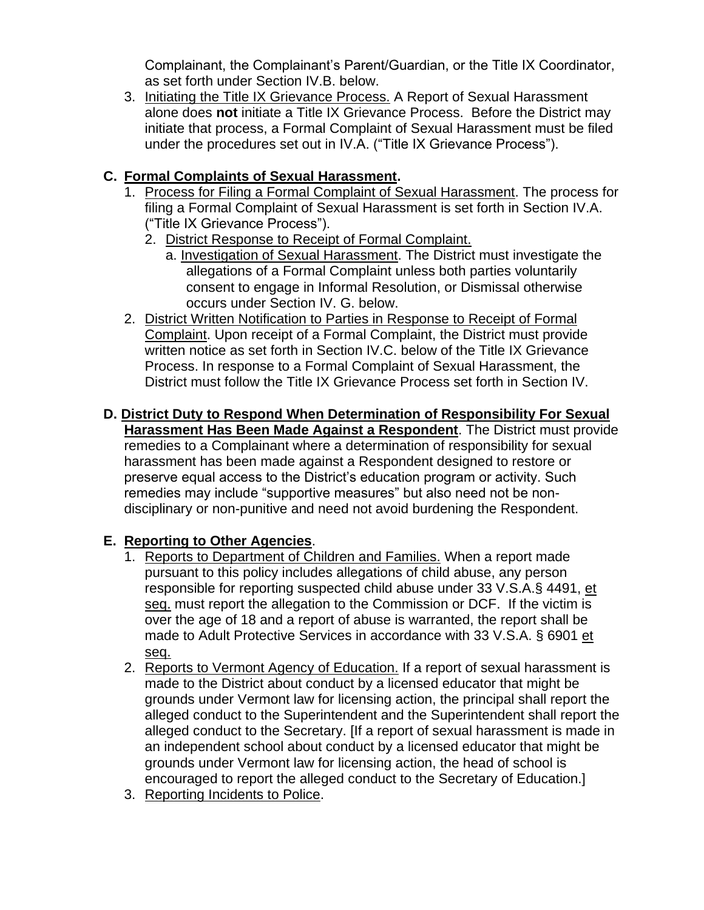Complainant, the Complainant's Parent/Guardian, or the Title IX Coordinator, as set forth under Section IV.B. below.

3. Initiating the Title IX Grievance Process. A Report of Sexual Harassment alone does **not** initiate a Title IX Grievance Process. Before the District may initiate that process, a Formal Complaint of Sexual Harassment must be filed under the procedures set out in IV.A. ("Title IX Grievance Process").

## **C. Formal Complaints of Sexual Harassment.**

- 1. Process for Filing a Formal Complaint of Sexual Harassment. The process for filing a Formal Complaint of Sexual Harassment is set forth in Section IV.A. ("Title IX Grievance Process").
	- 2. District Response to Receipt of Formal Complaint.
		- a. Investigation of Sexual Harassment. The District must investigate the allegations of a Formal Complaint unless both parties voluntarily consent to engage in Informal Resolution, or Dismissal otherwise occurs under Section IV. G. below.
- 2. District Written Notification to Parties in Response to Receipt of Formal Complaint. Upon receipt of a Formal Complaint, the District must provide written notice as set forth in Section IV.C. below of the Title IX Grievance Process. In response to a Formal Complaint of Sexual Harassment, the District must follow the Title IX Grievance Process set forth in Section IV.

#### **D. District Duty to Respond When Determination of Responsibility For Sexual Harassment Has Been Made Against a Respondent**. The District must provide remedies to a Complainant where a determination of responsibility for sexual harassment has been made against a Respondent designed to restore or preserve equal access to the District's education program or activity. Such remedies may include "supportive measures" but also need not be nondisciplinary or non-punitive and need not avoid burdening the Respondent.

## **E. Reporting to Other Agencies**.

- 1. Reports to Department of Children and Families. When a report made pursuant to this policy includes allegations of child abuse, any person responsible for reporting suspected child abuse under 33 V.S.A.§ 4491, et seq. must report the allegation to the Commission or DCF. If the victim is over the age of 18 and a report of abuse is warranted, the report shall be made to Adult Protective Services in accordance with 33 V.S.A. § 6901 et seq.
- 2. Reports to Vermont Agency of Education. If a report of sexual harassment is made to the District about conduct by a licensed educator that might be grounds under Vermont law for licensing action, the principal shall report the alleged conduct to the Superintendent and the Superintendent shall report the alleged conduct to the Secretary. [If a report of sexual harassment is made in an independent school about conduct by a licensed educator that might be grounds under Vermont law for licensing action, the head of school is encouraged to report the alleged conduct to the Secretary of Education.]
- 3. Reporting Incidents to Police.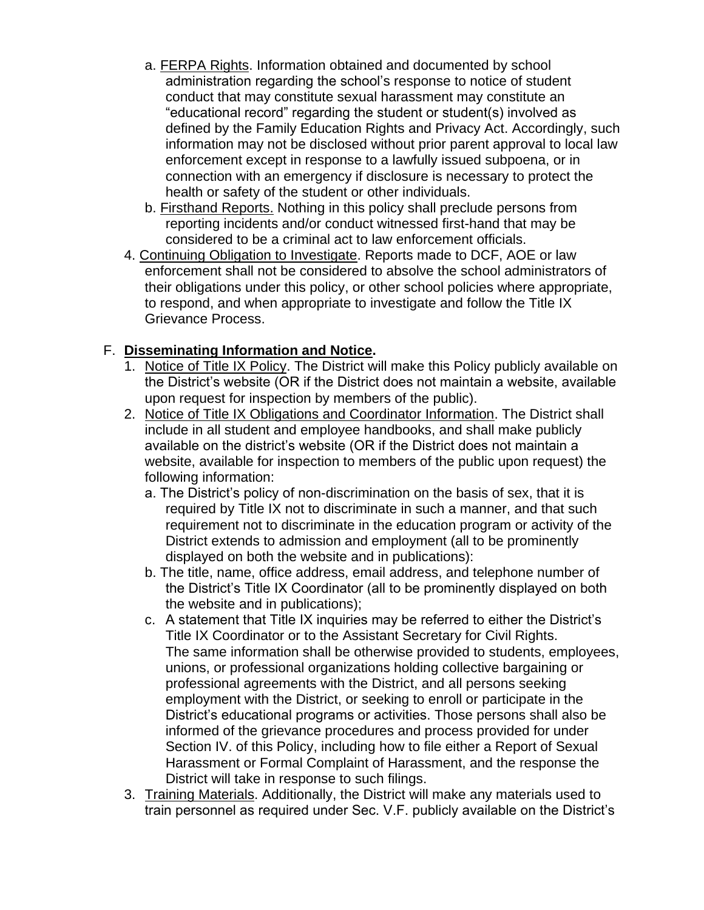- a. FERPA Rights. Information obtained and documented by school administration regarding the school's response to notice of student conduct that may constitute sexual harassment may constitute an "educational record" regarding the student or student(s) involved as defined by the Family Education Rights and Privacy Act. Accordingly, such information may not be disclosed without prior parent approval to local law enforcement except in response to a lawfully issued subpoena, or in connection with an emergency if disclosure is necessary to protect the health or safety of the student or other individuals.
- b. Firsthand Reports. Nothing in this policy shall preclude persons from reporting incidents and/or conduct witnessed first-hand that may be considered to be a criminal act to law enforcement officials.
- 4. Continuing Obligation to Investigate. Reports made to DCF, AOE or law enforcement shall not be considered to absolve the school administrators of their obligations under this policy, or other school policies where appropriate, to respond, and when appropriate to investigate and follow the Title IX Grievance Process.

## F. **Disseminating Information and Notice.**

- 1. Notice of Title IX Policy. The District will make this Policy publicly available on the District's website (OR if the District does not maintain a website, available upon request for inspection by members of the public).
- 2. Notice of Title IX Obligations and Coordinator Information. The District shall include in all student and employee handbooks, and shall make publicly available on the district's website (OR if the District does not maintain a website, available for inspection to members of the public upon request) the following information:
	- a. The District's policy of non-discrimination on the basis of sex, that it is required by Title IX not to discriminate in such a manner, and that such requirement not to discriminate in the education program or activity of the District extends to admission and employment (all to be prominently displayed on both the website and in publications):
	- b. The title, name, office address, email address, and telephone number of the District's Title IX Coordinator (all to be prominently displayed on both the website and in publications);
	- c. A statement that Title IX inquiries may be referred to either the District's Title IX Coordinator or to the Assistant Secretary for Civil Rights. The same information shall be otherwise provided to students, employees, unions, or professional organizations holding collective bargaining or professional agreements with the District, and all persons seeking employment with the District, or seeking to enroll or participate in the District's educational programs or activities. Those persons shall also be informed of the grievance procedures and process provided for under Section IV. of this Policy, including how to file either a Report of Sexual Harassment or Formal Complaint of Harassment, and the response the District will take in response to such filings.
- 3. Training Materials. Additionally, the District will make any materials used to train personnel as required under Sec. V.F. publicly available on the District's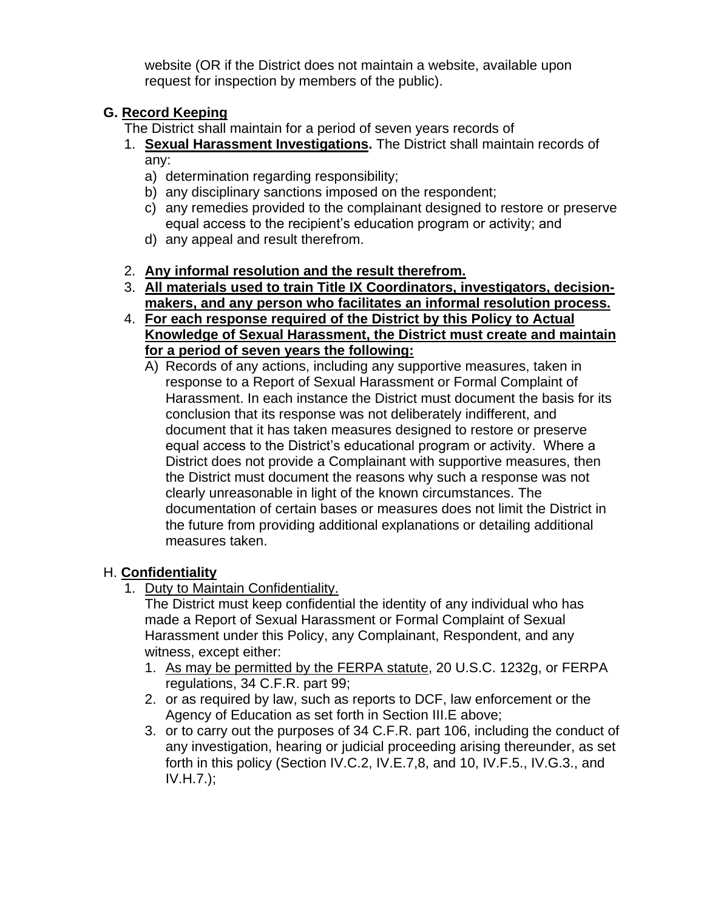website (OR if the District does not maintain a website, available upon request for inspection by members of the public).

# **G. Record Keeping**

The District shall maintain for a period of seven years records of

- 1. **Sexual Harassment Investigations.** The District shall maintain records of any:
	- a) determination regarding responsibility;
	- b) any disciplinary sanctions imposed on the respondent;
	- c) any remedies provided to the complainant designed to restore or preserve equal access to the recipient's education program or activity; and
	- d) any appeal and result therefrom.
- 2. **Any informal resolution and the result therefrom.**
- 3. **All materials used to train Title IX Coordinators, investigators, decisionmakers, and any person who facilitates an informal resolution process.**
- 4. **For each response required of the District by this Policy to Actual Knowledge of Sexual Harassment, the District must create and maintain for a period of seven years the following:**
	- A) Records of any actions, including any supportive measures, taken in response to a Report of Sexual Harassment or Formal Complaint of Harassment. In each instance the District must document the basis for its conclusion that its response was not deliberately indifferent, and document that it has taken measures designed to restore or preserve equal access to the District's educational program or activity. Where a District does not provide a Complainant with supportive measures, then the District must document the reasons why such a response was not clearly unreasonable in light of the known circumstances. The documentation of certain bases or measures does not limit the District in the future from providing additional explanations or detailing additional measures taken.

## H. **Confidentiality**

1. Duty to Maintain Confidentiality.

The District must keep confidential the identity of any individual who has made a Report of Sexual Harassment or Formal Complaint of Sexual Harassment under this Policy, any Complainant, Respondent, and any witness, except either:

- 1. As may be permitted by the FERPA statute, 20 U.S.C. 1232g, or FERPA regulations, 34 C.F.R. part 99;
- 2. or as required by law, such as reports to DCF, law enforcement or the Agency of Education as set forth in Section III.E above;
- 3. or to carry out the purposes of 34 C.F.R. part 106, including the conduct of any investigation, hearing or judicial proceeding arising thereunder, as set forth in this policy (Section IV.C.2, IV.E.7,8, and 10, IV.F.5., IV.G.3., and IV.H.7.);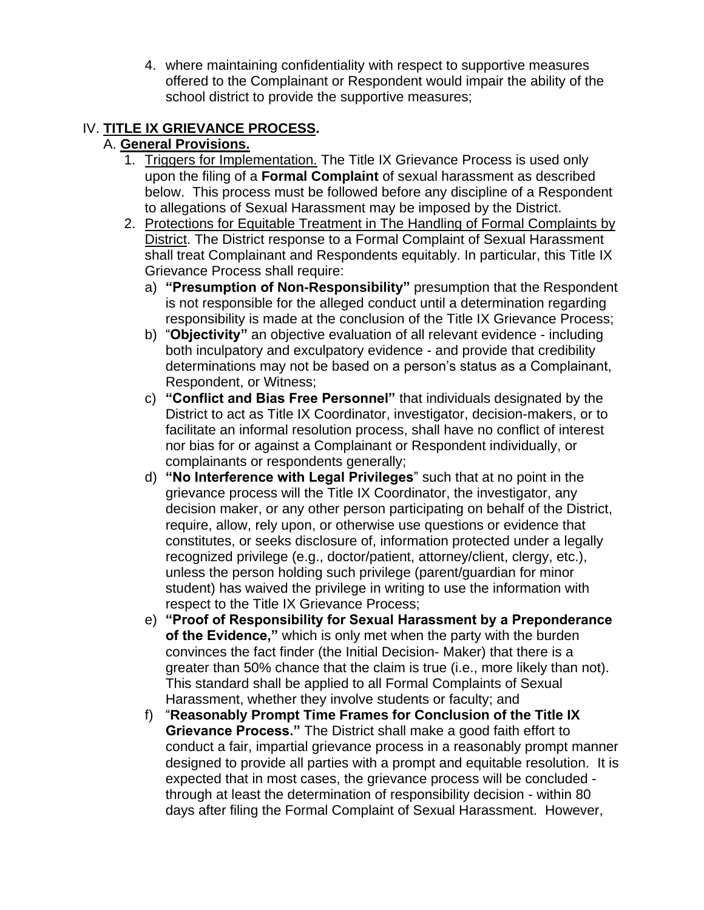4. where maintaining confidentiality with respect to supportive measures offered to the Complainant or Respondent would impair the ability of the school district to provide the supportive measures;

## IV. **TITLE IX GRIEVANCE PROCESS.**

## A. **General Provisions.**

- 1. Triggers for Implementation. The Title IX Grievance Process is used only upon the filing of a **Formal Complaint** of sexual harassment as described below. This process must be followed before any discipline of a Respondent to allegations of Sexual Harassment may be imposed by the District.
- 2. Protections for Equitable Treatment in The Handling of Formal Complaints by District. The District response to a Formal Complaint of Sexual Harassment shall treat Complainant and Respondents equitably. In particular, this Title IX Grievance Process shall require:
	- a) **"Presumption of Non-Responsibility"** presumption that the Respondent is not responsible for the alleged conduct until a determination regarding responsibility is made at the conclusion of the Title IX Grievance Process;
	- b) "**Objectivity"** an objective evaluation of all relevant evidence including both inculpatory and exculpatory evidence - and provide that credibility determinations may not be based on a person's status as a Complainant, Respondent, or Witness;
	- c) **"Conflict and Bias Free Personnel"** that individuals designated by the District to act as Title IX Coordinator, investigator, decision-makers, or to facilitate an informal resolution process, shall have no conflict of interest nor bias for or against a Complainant or Respondent individually, or complainants or respondents generally;
	- d) **"No Interference with Legal Privileges**" such that at no point in the grievance process will the Title IX Coordinator, the investigator, any decision maker, or any other person participating on behalf of the District, require, allow, rely upon, or otherwise use questions or evidence that constitutes, or seeks disclosure of, information protected under a legally recognized privilege (e.g., doctor/patient, attorney/client, clergy, etc.), unless the person holding such privilege (parent/guardian for minor student) has waived the privilege in writing to use the information with respect to the Title IX Grievance Process;
	- e) **"Proof of Responsibility for Sexual Harassment by a Preponderance of the Evidence,"** which is only met when the party with the burden convinces the fact finder (the Initial Decision- Maker) that there is a greater than 50% chance that the claim is true (i.e., more likely than not). This standard shall be applied to all Formal Complaints of Sexual Harassment, whether they involve students or faculty; and
	- f) "**Reasonably Prompt Time Frames for Conclusion of the Title IX Grievance Process."** The District shall make a good faith effort to conduct a fair, impartial grievance process in a reasonably prompt manner designed to provide all parties with a prompt and equitable resolution. It is expected that in most cases, the grievance process will be concluded through at least the determination of responsibility decision - within 80 days after filing the Formal Complaint of Sexual Harassment. However,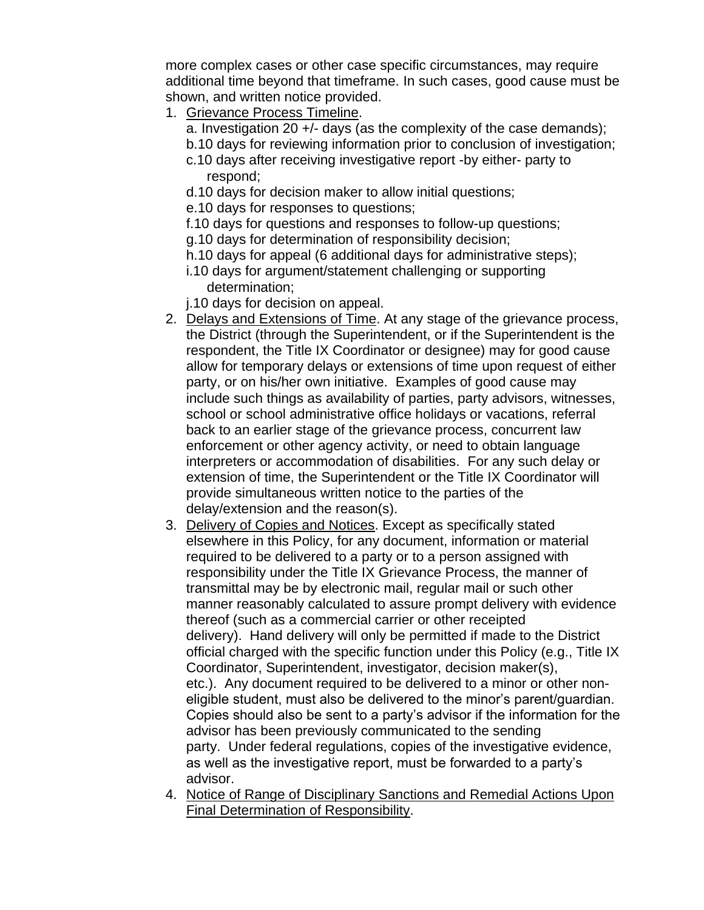more complex cases or other case specific circumstances, may require additional time beyond that timeframe. In such cases, good cause must be shown, and written notice provided.

- 1. Grievance Process Timeline.
	- a. Investigation 20 +/- days (as the complexity of the case demands);
	- b.10 days for reviewing information prior to conclusion of investigation;
	- c.10 days after receiving investigative report -by either- party to respond;
	- d.10 days for decision maker to allow initial questions;
	- e.10 days for responses to questions;
	- f.10 days for questions and responses to follow-up questions;
	- g.10 days for determination of responsibility decision;
	- h.10 days for appeal (6 additional days for administrative steps);
	- i.10 days for argument/statement challenging or supporting determination;
	- j.10 days for decision on appeal.
- 2. Delays and Extensions of Time. At any stage of the grievance process, the District (through the Superintendent, or if the Superintendent is the respondent, the Title IX Coordinator or designee) may for good cause allow for temporary delays or extensions of time upon request of either party, or on his/her own initiative. Examples of good cause may include such things as availability of parties, party advisors, witnesses, school or school administrative office holidays or vacations, referral back to an earlier stage of the grievance process, concurrent law enforcement or other agency activity, or need to obtain language interpreters or accommodation of disabilities. For any such delay or extension of time, the Superintendent or the Title IX Coordinator will provide simultaneous written notice to the parties of the delay/extension and the reason(s).
- 3. Delivery of Copies and Notices. Except as specifically stated elsewhere in this Policy, for any document, information or material required to be delivered to a party or to a person assigned with responsibility under the Title IX Grievance Process, the manner of transmittal may be by electronic mail, regular mail or such other manner reasonably calculated to assure prompt delivery with evidence thereof (such as a commercial carrier or other receipted delivery). Hand delivery will only be permitted if made to the District official charged with the specific function under this Policy (e.g., Title IX Coordinator, Superintendent, investigator, decision maker(s), etc.). Any document required to be delivered to a minor or other noneligible student, must also be delivered to the minor's parent/guardian. Copies should also be sent to a party's advisor if the information for the advisor has been previously communicated to the sending party. Under federal regulations, copies of the investigative evidence, as well as the investigative report, must be forwarded to a party's advisor.
- 4. Notice of Range of Disciplinary Sanctions and Remedial Actions Upon Final Determination of Responsibility.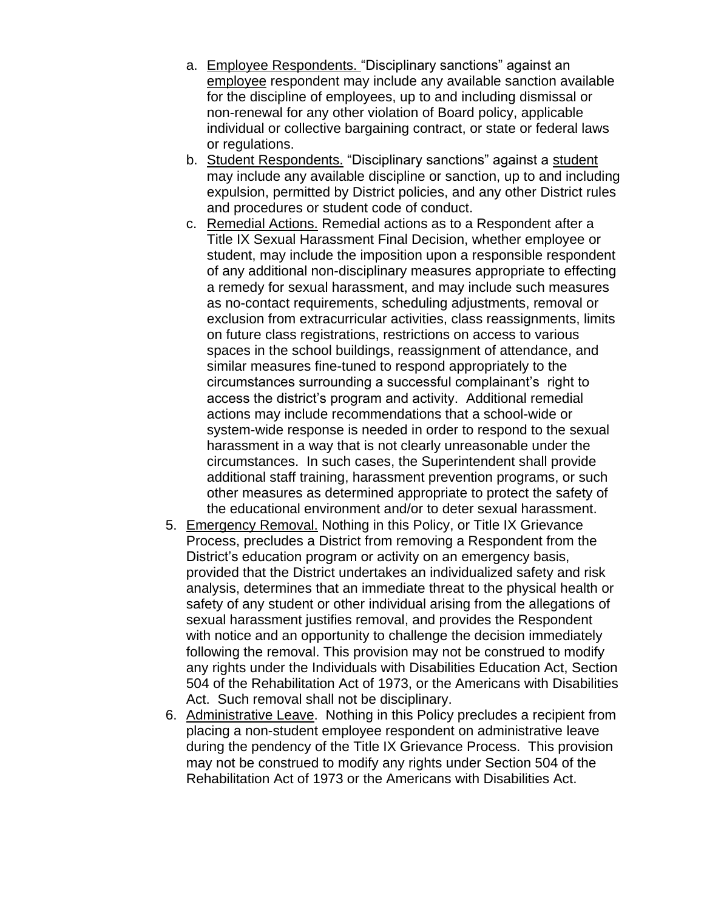- a. Employee Respondents. "Disciplinary sanctions" against an employee respondent may include any available sanction available for the discipline of employees, up to and including dismissal or non-renewal for any other violation of Board policy, applicable individual or collective bargaining contract, or state or federal laws or regulations.
- b. Student Respondents. "Disciplinary sanctions" against a student may include any available discipline or sanction, up to and including expulsion, permitted by District policies, and any other District rules and procedures or student code of conduct.
- c. Remedial Actions. Remedial actions as to a Respondent after a Title IX Sexual Harassment Final Decision, whether employee or student, may include the imposition upon a responsible respondent of any additional non-disciplinary measures appropriate to effecting a remedy for sexual harassment, and may include such measures as no-contact requirements, scheduling adjustments, removal or exclusion from extracurricular activities, class reassignments, limits on future class registrations, restrictions on access to various spaces in the school buildings, reassignment of attendance, and similar measures fine-tuned to respond appropriately to the circumstances surrounding a successful complainant's right to access the district's program and activity. Additional remedial actions may include recommendations that a school-wide or system-wide response is needed in order to respond to the sexual harassment in a way that is not clearly unreasonable under the circumstances. In such cases, the Superintendent shall provide additional staff training, harassment prevention programs, or such other measures as determined appropriate to protect the safety of the educational environment and/or to deter sexual harassment.
- 5. Emergency Removal. Nothing in this Policy, or Title IX Grievance Process, precludes a District from removing a Respondent from the District's education program or activity on an emergency basis, provided that the District undertakes an individualized safety and risk analysis, determines that an immediate threat to the physical health or safety of any student or other individual arising from the allegations of sexual harassment justifies removal, and provides the Respondent with notice and an opportunity to challenge the decision immediately following the removal. This provision may not be construed to modify any rights under the Individuals with Disabilities Education Act, Section 504 of the Rehabilitation Act of 1973, or the Americans with Disabilities Act. Such removal shall not be disciplinary.
- 6. Administrative Leave. Nothing in this Policy precludes a recipient from placing a non-student employee respondent on administrative leave during the pendency of the Title IX Grievance Process. This provision may not be construed to modify any rights under Section 504 of the Rehabilitation Act of 1973 or the Americans with Disabilities Act.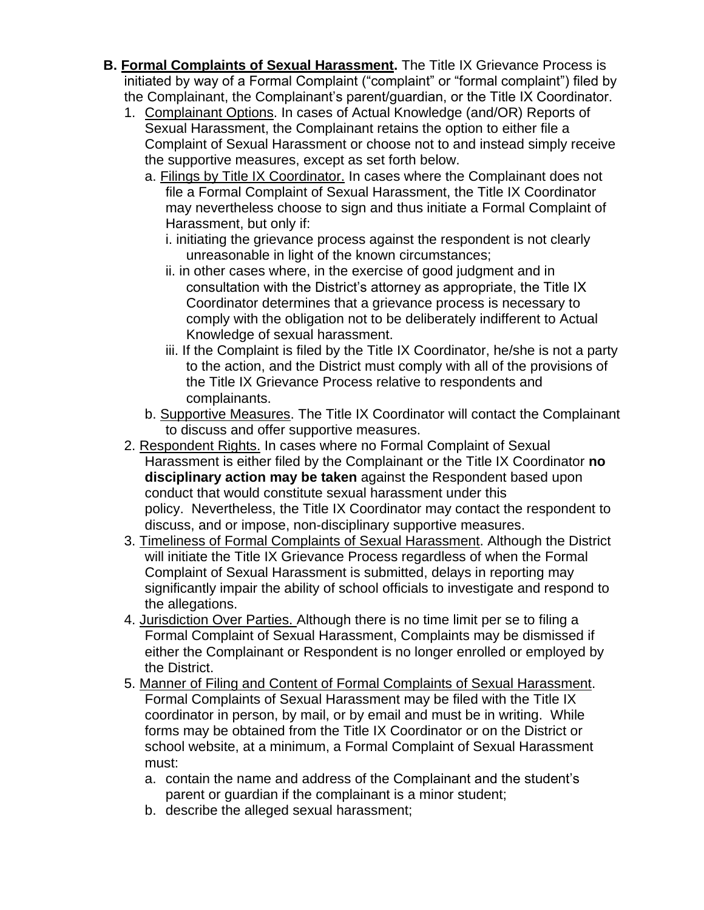- **B. Formal Complaints of Sexual Harassment.** The Title IX Grievance Process is initiated by way of a Formal Complaint ("complaint" or "formal complaint") filed by the Complainant, the Complainant's parent/guardian, or the Title IX Coordinator.
	- 1. Complainant Options. In cases of Actual Knowledge (and/OR) Reports of Sexual Harassment, the Complainant retains the option to either file a Complaint of Sexual Harassment or choose not to and instead simply receive the supportive measures, except as set forth below.
		- a. Filings by Title IX Coordinator. In cases where the Complainant does not file a Formal Complaint of Sexual Harassment, the Title IX Coordinator may nevertheless choose to sign and thus initiate a Formal Complaint of Harassment, but only if:
			- i. initiating the grievance process against the respondent is not clearly unreasonable in light of the known circumstances;
			- ii. in other cases where, in the exercise of good judgment and in consultation with the District's attorney as appropriate, the Title IX Coordinator determines that a grievance process is necessary to comply with the obligation not to be deliberately indifferent to Actual Knowledge of sexual harassment.
			- iii. If the Complaint is filed by the Title IX Coordinator, he/she is not a party to the action, and the District must comply with all of the provisions of the Title IX Grievance Process relative to respondents and complainants.
		- b. Supportive Measures. The Title IX Coordinator will contact the Complainant to discuss and offer supportive measures.
	- 2. Respondent Rights. In cases where no Formal Complaint of Sexual Harassment is either filed by the Complainant or the Title IX Coordinator **no disciplinary action may be taken** against the Respondent based upon conduct that would constitute sexual harassment under this policy. Nevertheless, the Title IX Coordinator may contact the respondent to discuss, and or impose, non-disciplinary supportive measures.
	- 3. Timeliness of Formal Complaints of Sexual Harassment. Although the District will initiate the Title IX Grievance Process regardless of when the Formal Complaint of Sexual Harassment is submitted, delays in reporting may significantly impair the ability of school officials to investigate and respond to the allegations.
	- 4. Jurisdiction Over Parties. Although there is no time limit per se to filing a Formal Complaint of Sexual Harassment, Complaints may be dismissed if either the Complainant or Respondent is no longer enrolled or employed by the District.
	- 5. Manner of Filing and Content of Formal Complaints of Sexual Harassment. Formal Complaints of Sexual Harassment may be filed with the Title IX coordinator in person, by mail, or by email and must be in writing. While forms may be obtained from the Title IX Coordinator or on the District or school website, at a minimum, a Formal Complaint of Sexual Harassment must:
		- a. contain the name and address of the Complainant and the student's parent or guardian if the complainant is a minor student;
		- b. describe the alleged sexual harassment;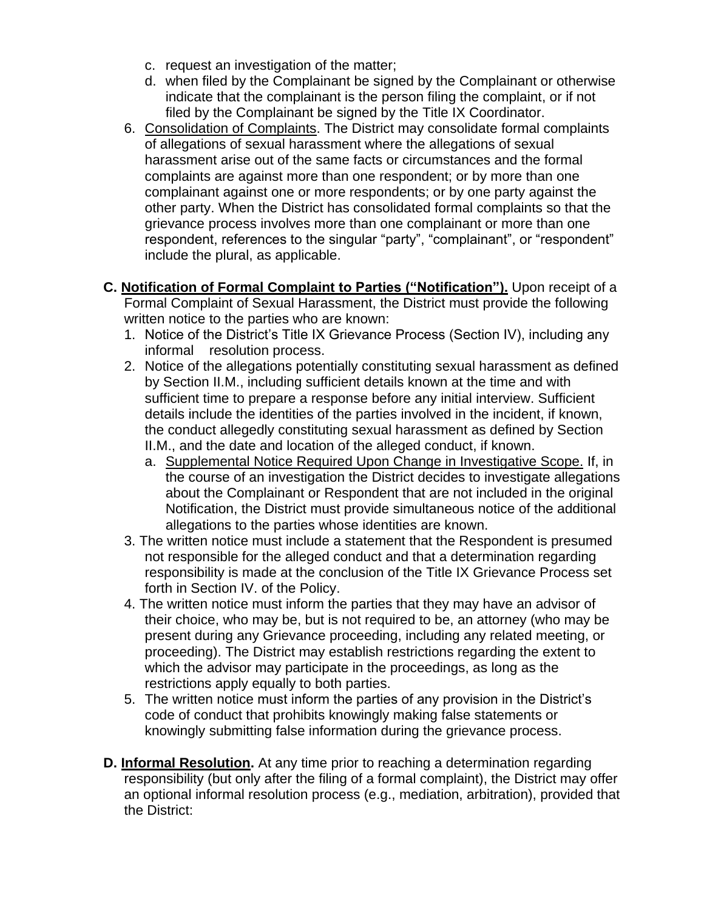- c. request an investigation of the matter;
- d. when filed by the Complainant be signed by the Complainant or otherwise indicate that the complainant is the person filing the complaint, or if not filed by the Complainant be signed by the Title IX Coordinator.
- 6. Consolidation of Complaints. The District may consolidate formal complaints of allegations of sexual harassment where the allegations of sexual harassment arise out of the same facts or circumstances and the formal complaints are against more than one respondent; or by more than one complainant against one or more respondents; or by one party against the other party. When the District has consolidated formal complaints so that the grievance process involves more than one complainant or more than one respondent, references to the singular "party", "complainant", or "respondent" include the plural, as applicable.
- **C. Notification of Formal Complaint to Parties ("Notification").** Upon receipt of a Formal Complaint of Sexual Harassment, the District must provide the following written notice to the parties who are known:
	- 1. Notice of the District's Title IX Grievance Process (Section IV), including any informal resolution process.
	- 2. Notice of the allegations potentially constituting sexual harassment as defined by Section II.M., including sufficient details known at the time and with sufficient time to prepare a response before any initial interview. Sufficient details include the identities of the parties involved in the incident, if known, the conduct allegedly constituting sexual harassment as defined by Section II.M., and the date and location of the alleged conduct, if known.
		- a. Supplemental Notice Required Upon Change in Investigative Scope. If, in the course of an investigation the District decides to investigate allegations about the Complainant or Respondent that are not included in the original Notification, the District must provide simultaneous notice of the additional allegations to the parties whose identities are known.
	- 3. The written notice must include a statement that the Respondent is presumed not responsible for the alleged conduct and that a determination regarding responsibility is made at the conclusion of the Title IX Grievance Process set forth in Section IV. of the Policy.
	- 4. The written notice must inform the parties that they may have an advisor of their choice, who may be, but is not required to be, an attorney (who may be present during any Grievance proceeding, including any related meeting, or proceeding). The District may establish restrictions regarding the extent to which the advisor may participate in the proceedings, as long as the restrictions apply equally to both parties.
	- 5. The written notice must inform the parties of any provision in the District's code of conduct that prohibits knowingly making false statements or knowingly submitting false information during the grievance process.
- **D. Informal Resolution.** At any time prior to reaching a determination regarding responsibility (but only after the filing of a formal complaint), the District may offer an optional informal resolution process (e.g., mediation, arbitration), provided that the District: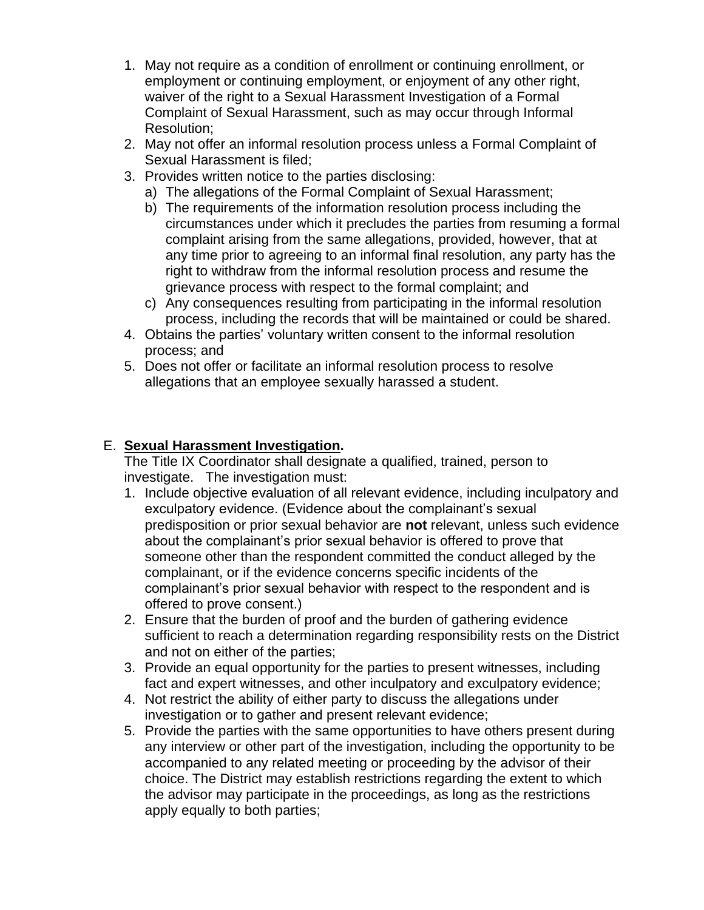- 1. May not require as a condition of enrollment or continuing enrollment, or employment or continuing employment, or enjoyment of any other right, waiver of the right to a Sexual Harassment Investigation of a Formal Complaint of Sexual Harassment, such as may occur through Informal Resolution;
- 2. May not offer an informal resolution process unless a Formal Complaint of Sexual Harassment is filed;
- 3. Provides written notice to the parties disclosing:
	- a) The allegations of the Formal Complaint of Sexual Harassment;
	- b) The requirements of the information resolution process including the circumstances under which it precludes the parties from resuming a formal complaint arising from the same allegations, provided, however, that at any time prior to agreeing to an informal final resolution, any party has the right to withdraw from the informal resolution process and resume the grievance process with respect to the formal complaint; and
	- c) Any consequences resulting from participating in the informal resolution process, including the records that will be maintained or could be shared.
- 4. Obtains the parties' voluntary written consent to the informal resolution process; and
- 5. Does not offer or facilitate an informal resolution process to resolve allegations that an employee sexually harassed a student.

#### E. **Sexual Harassment Investigation.**

The Title IX Coordinator shall designate a qualified, trained, person to investigate. The investigation must:

- 1. Include objective evaluation of all relevant evidence, including inculpatory and exculpatory evidence. (Evidence about the complainant's sexual predisposition or prior sexual behavior are **not** relevant, unless such evidence about the complainant's prior sexual behavior is offered to prove that someone other than the respondent committed the conduct alleged by the complainant, or if the evidence concerns specific incidents of the complainant's prior sexual behavior with respect to the respondent and is offered to prove consent.)
- 2. Ensure that the burden of proof and the burden of gathering evidence sufficient to reach a determination regarding responsibility rests on the District and not on either of the parties;
- 3. Provide an equal opportunity for the parties to present witnesses, including fact and expert witnesses, and other inculpatory and exculpatory evidence;
- 4. Not restrict the ability of either party to discuss the allegations under investigation or to gather and present relevant evidence;
- 5. Provide the parties with the same opportunities to have others present during any interview or other part of the investigation, including the opportunity to be accompanied to any related meeting or proceeding by the advisor of their choice. The District may establish restrictions regarding the extent to which the advisor may participate in the proceedings, as long as the restrictions apply equally to both parties;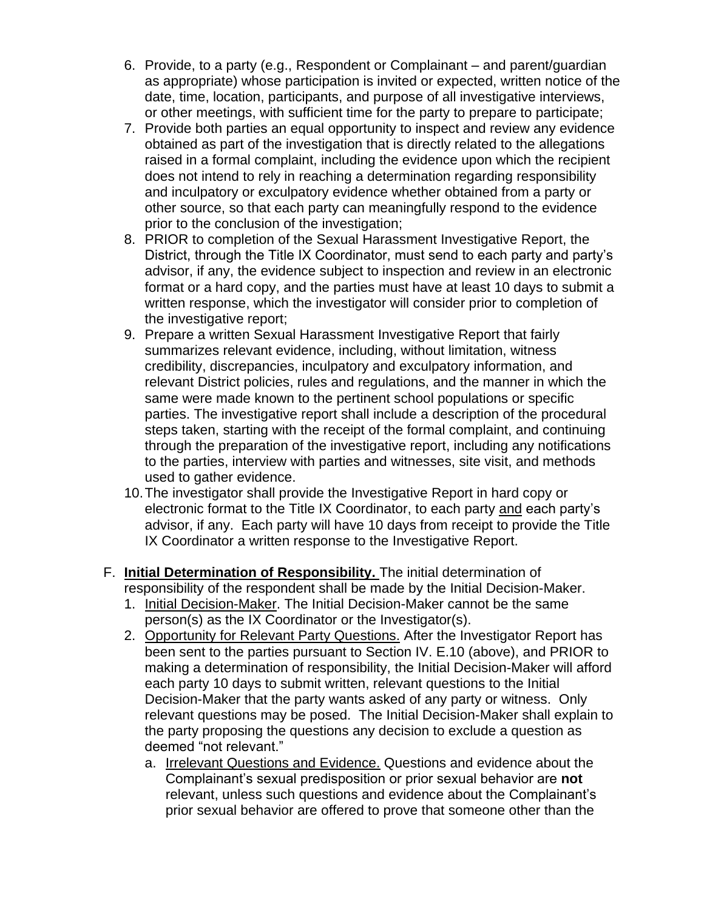- 6. Provide, to a party (e.g., Respondent or Complainant and parent/guardian as appropriate) whose participation is invited or expected, written notice of the date, time, location, participants, and purpose of all investigative interviews, or other meetings, with sufficient time for the party to prepare to participate;
- 7. Provide both parties an equal opportunity to inspect and review any evidence obtained as part of the investigation that is directly related to the allegations raised in a formal complaint, including the evidence upon which the recipient does not intend to rely in reaching a determination regarding responsibility and inculpatory or exculpatory evidence whether obtained from a party or other source, so that each party can meaningfully respond to the evidence prior to the conclusion of the investigation;
- 8. PRIOR to completion of the Sexual Harassment Investigative Report, the District, through the Title IX Coordinator, must send to each party and party's advisor, if any, the evidence subject to inspection and review in an electronic format or a hard copy, and the parties must have at least 10 days to submit a written response, which the investigator will consider prior to completion of the investigative report;
- 9. Prepare a written Sexual Harassment Investigative Report that fairly summarizes relevant evidence, including, without limitation, witness credibility, discrepancies, inculpatory and exculpatory information, and relevant District policies, rules and regulations, and the manner in which the same were made known to the pertinent school populations or specific parties. The investigative report shall include a description of the procedural steps taken, starting with the receipt of the formal complaint, and continuing through the preparation of the investigative report, including any notifications to the parties, interview with parties and witnesses, site visit, and methods used to gather evidence.
- 10.The investigator shall provide the Investigative Report in hard copy or electronic format to the Title IX Coordinator, to each party and each party's advisor, if any. Each party will have 10 days from receipt to provide the Title IX Coordinator a written response to the Investigative Report.
- F. **Initial Determination of Responsibility.** The initial determination of responsibility of the respondent shall be made by the Initial Decision-Maker.
	- 1. Initial Decision-Maker. The Initial Decision-Maker cannot be the same person(s) as the IX Coordinator or the Investigator(s).
	- 2. Opportunity for Relevant Party Questions. After the Investigator Report has been sent to the parties pursuant to Section IV. E.10 (above), and PRIOR to making a determination of responsibility, the Initial Decision-Maker will afford each party 10 days to submit written, relevant questions to the Initial Decision-Maker that the party wants asked of any party or witness. Only relevant questions may be posed. The Initial Decision-Maker shall explain to the party proposing the questions any decision to exclude a question as deemed "not relevant."
		- a. Irrelevant Questions and Evidence. Questions and evidence about the Complainant's sexual predisposition or prior sexual behavior are **not** relevant, unless such questions and evidence about the Complainant's prior sexual behavior are offered to prove that someone other than the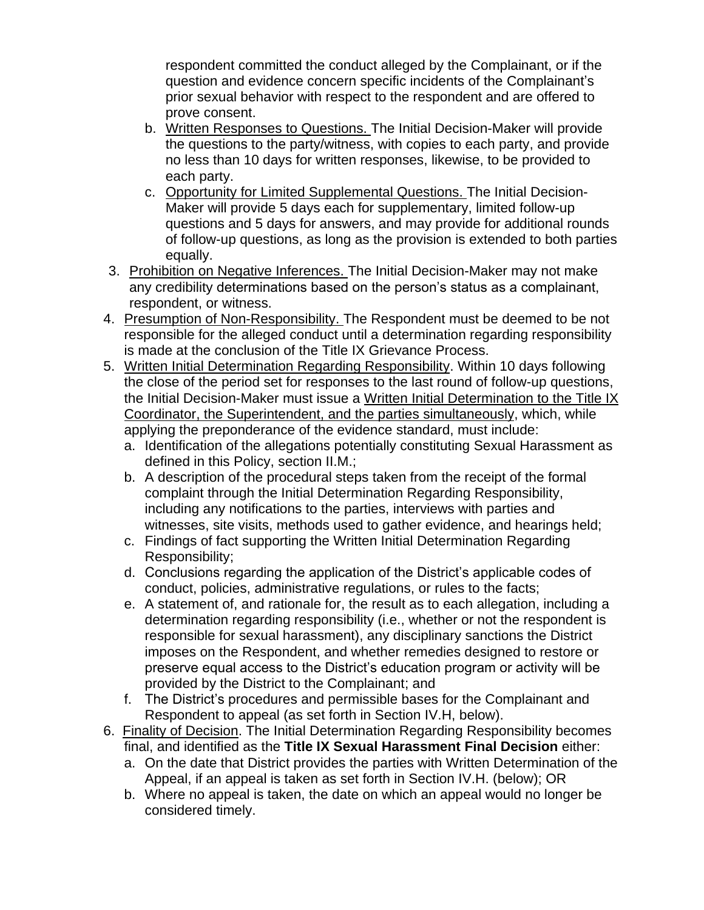respondent committed the conduct alleged by the Complainant, or if the question and evidence concern specific incidents of the Complainant's prior sexual behavior with respect to the respondent and are offered to prove consent.

- b. Written Responses to Questions. The Initial Decision-Maker will provide the questions to the party/witness, with copies to each party, and provide no less than 10 days for written responses, likewise, to be provided to each party.
- c. Opportunity for Limited Supplemental Questions. The Initial Decision-Maker will provide 5 days each for supplementary, limited follow-up questions and 5 days for answers, and may provide for additional rounds of follow-up questions, as long as the provision is extended to both parties equally.
- 3. Prohibition on Negative Inferences. The Initial Decision-Maker may not make any credibility determinations based on the person's status as a complainant, respondent, or witness.
- 4. Presumption of Non-Responsibility. The Respondent must be deemed to be not responsible for the alleged conduct until a determination regarding responsibility is made at the conclusion of the Title IX Grievance Process.
- 5. Written Initial Determination Regarding Responsibility. Within 10 days following the close of the period set for responses to the last round of follow-up questions, the Initial Decision-Maker must issue a Written Initial Determination to the Title IX Coordinator, the Superintendent, and the parties simultaneously, which, while applying the preponderance of the evidence standard, must include:
	- a. Identification of the allegations potentially constituting Sexual Harassment as defined in this Policy, section II.M.;
	- b. A description of the procedural steps taken from the receipt of the formal complaint through the Initial Determination Regarding Responsibility, including any notifications to the parties, interviews with parties and witnesses, site visits, methods used to gather evidence, and hearings held;
	- c. Findings of fact supporting the Written Initial Determination Regarding Responsibility;
	- d. Conclusions regarding the application of the District's applicable codes of conduct, policies, administrative regulations, or rules to the facts;
	- e. A statement of, and rationale for, the result as to each allegation, including a determination regarding responsibility (i.e., whether or not the respondent is responsible for sexual harassment), any disciplinary sanctions the District imposes on the Respondent, and whether remedies designed to restore or preserve equal access to the District's education program or activity will be provided by the District to the Complainant; and
	- f. The District's procedures and permissible bases for the Complainant and Respondent to appeal (as set forth in Section IV.H, below).
- 6. Finality of Decision. The Initial Determination Regarding Responsibility becomes final, and identified as the **Title IX Sexual Harassment Final Decision** either:
	- a. On the date that District provides the parties with Written Determination of the Appeal, if an appeal is taken as set forth in Section IV.H. (below); OR
	- b. Where no appeal is taken, the date on which an appeal would no longer be considered timely.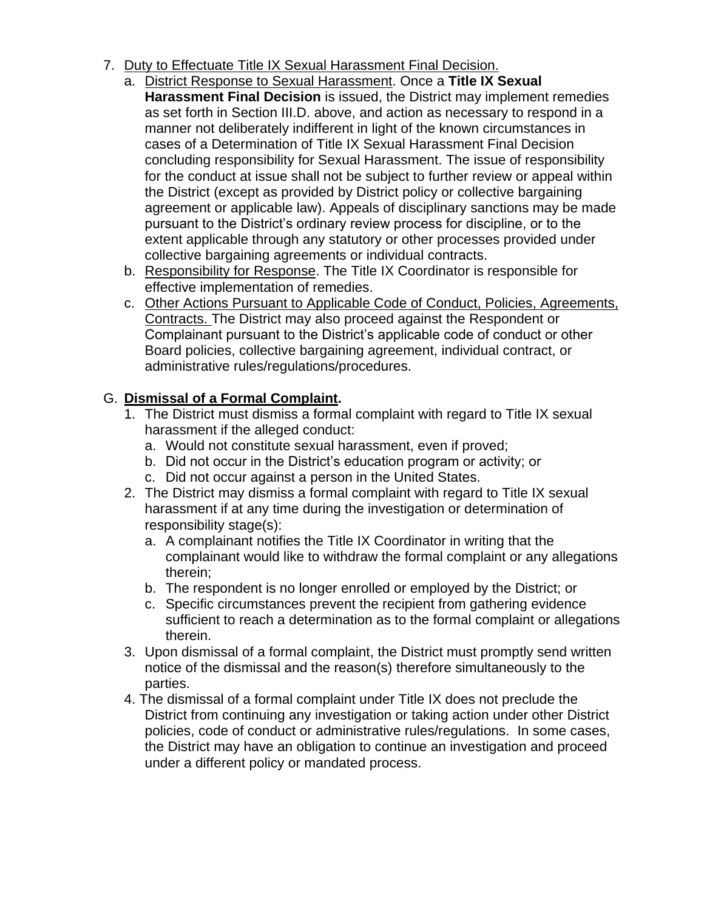- 7. Duty to Effectuate Title IX Sexual Harassment Final Decision.
	- a. District Response to Sexual Harassment. Once a **Title IX Sexual Harassment Final Decision** is issued, the District may implement remedies as set forth in Section III.D. above, and action as necessary to respond in a manner not deliberately indifferent in light of the known circumstances in cases of a Determination of Title IX Sexual Harassment Final Decision concluding responsibility for Sexual Harassment. The issue of responsibility for the conduct at issue shall not be subject to further review or appeal within the District (except as provided by District policy or collective bargaining agreement or applicable law). Appeals of disciplinary sanctions may be made pursuant to the District's ordinary review process for discipline, or to the extent applicable through any statutory or other processes provided under collective bargaining agreements or individual contracts.
	- b. Responsibility for Response. The Title IX Coordinator is responsible for effective implementation of remedies.
	- c. Other Actions Pursuant to Applicable Code of Conduct, Policies, Agreements, Contracts. The District may also proceed against the Respondent or Complainant pursuant to the District's applicable code of conduct or other Board policies, collective bargaining agreement, individual contract, or administrative rules/regulations/procedures.

# G. **Dismissal of a Formal Complaint.**

- 1. The District must dismiss a formal complaint with regard to Title IX sexual harassment if the alleged conduct:
	- a. Would not constitute sexual harassment, even if proved;
	- b. Did not occur in the District's education program or activity; or
	- c. Did not occur against a person in the United States.
- 2. The District may dismiss a formal complaint with regard to Title IX sexual harassment if at any time during the investigation or determination of responsibility stage(s):
	- a. A complainant notifies the Title IX Coordinator in writing that the complainant would like to withdraw the formal complaint or any allegations therein;
	- b. The respondent is no longer enrolled or employed by the District; or
	- c. Specific circumstances prevent the recipient from gathering evidence sufficient to reach a determination as to the formal complaint or allegations therein.
- 3. Upon dismissal of a formal complaint, the District must promptly send written notice of the dismissal and the reason(s) therefore simultaneously to the parties.
- 4. The dismissal of a formal complaint under Title IX does not preclude the District from continuing any investigation or taking action under other District policies, code of conduct or administrative rules/regulations. In some cases, the District may have an obligation to continue an investigation and proceed under a different policy or mandated process.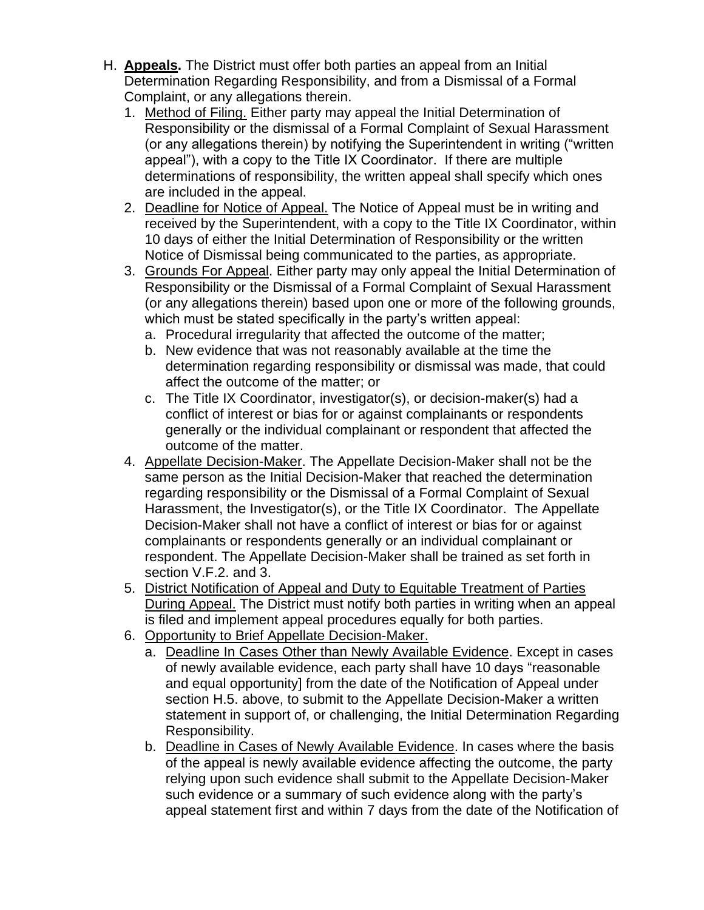- H. **Appeals.** The District must offer both parties an appeal from an Initial Determination Regarding Responsibility, and from a Dismissal of a Formal Complaint, or any allegations therein.
	- 1. Method of Filing. Either party may appeal the Initial Determination of Responsibility or the dismissal of a Formal Complaint of Sexual Harassment (or any allegations therein) by notifying the Superintendent in writing ("written appeal"), with a copy to the Title IX Coordinator. If there are multiple determinations of responsibility, the written appeal shall specify which ones are included in the appeal.
	- 2. Deadline for Notice of Appeal. The Notice of Appeal must be in writing and received by the Superintendent, with a copy to the Title IX Coordinator, within 10 days of either the Initial Determination of Responsibility or the written Notice of Dismissal being communicated to the parties, as appropriate.
	- 3. Grounds For Appeal. Either party may only appeal the Initial Determination of Responsibility or the Dismissal of a Formal Complaint of Sexual Harassment (or any allegations therein) based upon one or more of the following grounds, which must be stated specifically in the party's written appeal:
		- a. Procedural irregularity that affected the outcome of the matter;
		- b. New evidence that was not reasonably available at the time the determination regarding responsibility or dismissal was made, that could affect the outcome of the matter; or
		- c. The Title IX Coordinator, investigator(s), or decision-maker(s) had a conflict of interest or bias for or against complainants or respondents generally or the individual complainant or respondent that affected the outcome of the matter.
	- 4. Appellate Decision-Maker. The Appellate Decision-Maker shall not be the same person as the Initial Decision-Maker that reached the determination regarding responsibility or the Dismissal of a Formal Complaint of Sexual Harassment, the Investigator(s), or the Title IX Coordinator. The Appellate Decision-Maker shall not have a conflict of interest or bias for or against complainants or respondents generally or an individual complainant or respondent. The Appellate Decision-Maker shall be trained as set forth in section V.F.2. and 3.
	- 5. District Notification of Appeal and Duty to Equitable Treatment of Parties During Appeal. The District must notify both parties in writing when an appeal is filed and implement appeal procedures equally for both parties.
	- 6. Opportunity to Brief Appellate Decision-Maker.
		- a. Deadline In Cases Other than Newly Available Evidence. Except in cases of newly available evidence, each party shall have 10 days "reasonable and equal opportunity] from the date of the Notification of Appeal under section H.5. above, to submit to the Appellate Decision-Maker a written statement in support of, or challenging, the Initial Determination Regarding Responsibility.
		- b. Deadline in Cases of Newly Available Evidence. In cases where the basis of the appeal is newly available evidence affecting the outcome, the party relying upon such evidence shall submit to the Appellate Decision-Maker such evidence or a summary of such evidence along with the party's appeal statement first and within 7 days from the date of the Notification of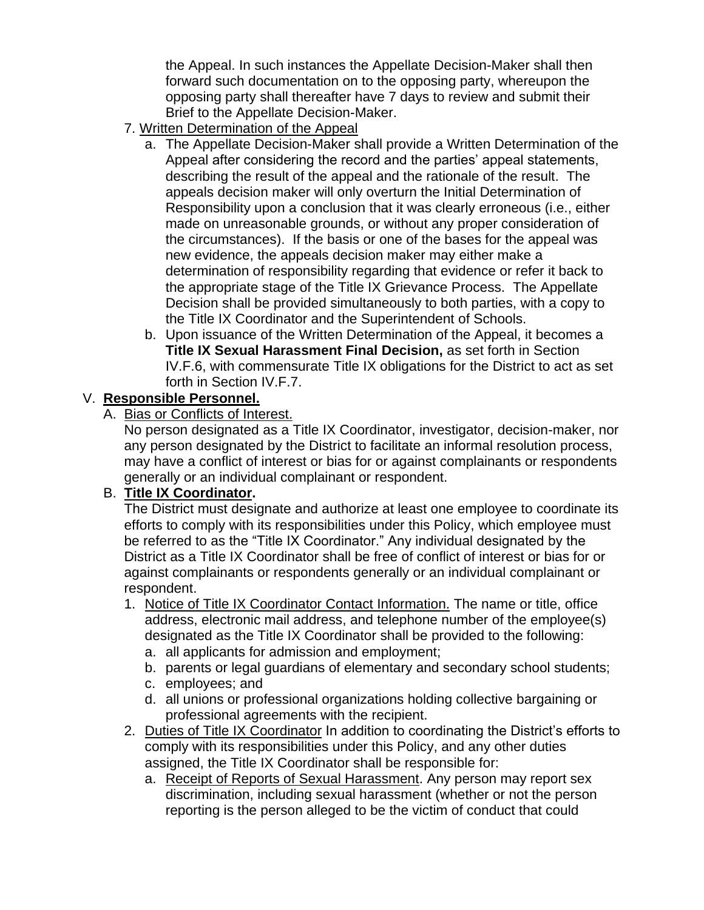the Appeal. In such instances the Appellate Decision-Maker shall then forward such documentation on to the opposing party, whereupon the opposing party shall thereafter have 7 days to review and submit their Brief to the Appellate Decision-Maker.

- 7. Written Determination of the Appeal
	- a. The Appellate Decision-Maker shall provide a Written Determination of the Appeal after considering the record and the parties' appeal statements, describing the result of the appeal and the rationale of the result. The appeals decision maker will only overturn the Initial Determination of Responsibility upon a conclusion that it was clearly erroneous (i.e., either made on unreasonable grounds, or without any proper consideration of the circumstances). If the basis or one of the bases for the appeal was new evidence, the appeals decision maker may either make a determination of responsibility regarding that evidence or refer it back to the appropriate stage of the Title IX Grievance Process. The Appellate Decision shall be provided simultaneously to both parties, with a copy to the Title IX Coordinator and the Superintendent of Schools.
	- b. Upon issuance of the Written Determination of the Appeal, it becomes a **Title IX Sexual Harassment Final Decision,** as set forth in Section IV.F.6, with commensurate Title IX obligations for the District to act as set forth in Section IV.F.7.

#### V. **Responsible Personnel.**

A. Bias or Conflicts of Interest.

No person designated as a Title IX Coordinator, investigator, decision-maker, nor any person designated by the District to facilitate an informal resolution process, may have a conflict of interest or bias for or against complainants or respondents generally or an individual complainant or respondent.

## B. **Title IX Coordinator.**

The District must designate and authorize at least one employee to coordinate its efforts to comply with its responsibilities under this Policy, which employee must be referred to as the "Title IX Coordinator." Any individual designated by the District as a Title IX Coordinator shall be free of conflict of interest or bias for or against complainants or respondents generally or an individual complainant or respondent.

- 1. Notice of Title IX Coordinator Contact Information. The name or title, office address, electronic mail address, and telephone number of the employee(s) designated as the Title IX Coordinator shall be provided to the following:
	- a. all applicants for admission and employment;
	- b. parents or legal guardians of elementary and secondary school students;
	- c. employees; and
	- d. all unions or professional organizations holding collective bargaining or professional agreements with the recipient.
- 2. Duties of Title IX Coordinator In addition to coordinating the District's efforts to comply with its responsibilities under this Policy, and any other duties assigned, the Title IX Coordinator shall be responsible for:
	- a. Receipt of Reports of Sexual Harassment. Any person may report sex discrimination, including sexual harassment (whether or not the person reporting is the person alleged to be the victim of conduct that could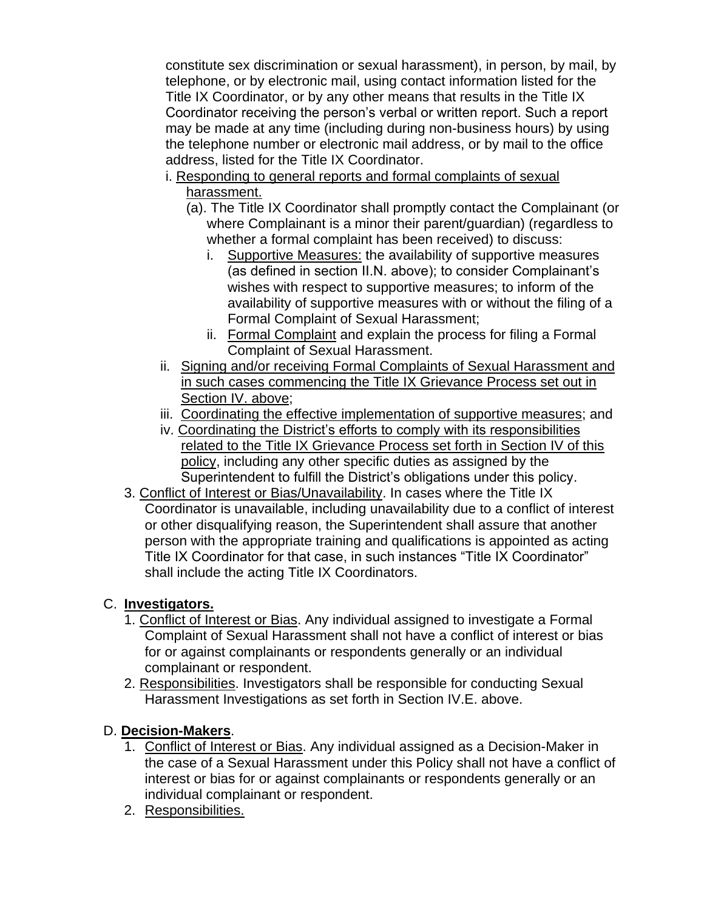constitute sex discrimination or sexual harassment), in person, by mail, by telephone, or by electronic mail, using contact information listed for the Title IX Coordinator, or by any other means that results in the Title IX Coordinator receiving the person's verbal or written report. Such a report may be made at any time (including during non-business hours) by using the telephone number or electronic mail address, or by mail to the office address, listed for the Title IX Coordinator.

- i. Responding to general reports and formal complaints of sexual harassment.
	- (a). The Title IX Coordinator shall promptly contact the Complainant (or where Complainant is a minor their parent/guardian) (regardless to whether a formal complaint has been received) to discuss:
		- i. Supportive Measures: the availability of supportive measures (as defined in section II.N. above); to consider Complainant's wishes with respect to supportive measures; to inform of the availability of supportive measures with or without the filing of a Formal Complaint of Sexual Harassment;
		- ii. Formal Complaint and explain the process for filing a Formal Complaint of Sexual Harassment.
- ii. Signing and/or receiving Formal Complaints of Sexual Harassment and in such cases commencing the Title IX Grievance Process set out in Section IV. above;
- iii. Coordinating the effective implementation of supportive measures; and
- iv. Coordinating the District's efforts to comply with its responsibilities related to the Title IX Grievance Process set forth in Section IV of this policy, including any other specific duties as assigned by the Superintendent to fulfill the District's obligations under this policy.
- 3. Conflict of Interest or Bias/Unavailability. In cases where the Title IX Coordinator is unavailable, including unavailability due to a conflict of interest or other disqualifying reason, the Superintendent shall assure that another person with the appropriate training and qualifications is appointed as acting Title IX Coordinator for that case, in such instances "Title IX Coordinator" shall include the acting Title IX Coordinators.

## C. **Investigators.**

- 1. Conflict of Interest or Bias. Any individual assigned to investigate a Formal Complaint of Sexual Harassment shall not have a conflict of interest or bias for or against complainants or respondents generally or an individual complainant or respondent.
- 2. Responsibilities. Investigators shall be responsible for conducting Sexual Harassment Investigations as set forth in Section IV.E. above.

## D. **Decision-Makers**.

- 1. Conflict of Interest or Bias. Any individual assigned as a Decision-Maker in the case of a Sexual Harassment under this Policy shall not have a conflict of interest or bias for or against complainants or respondents generally or an individual complainant or respondent.
- 2. Responsibilities.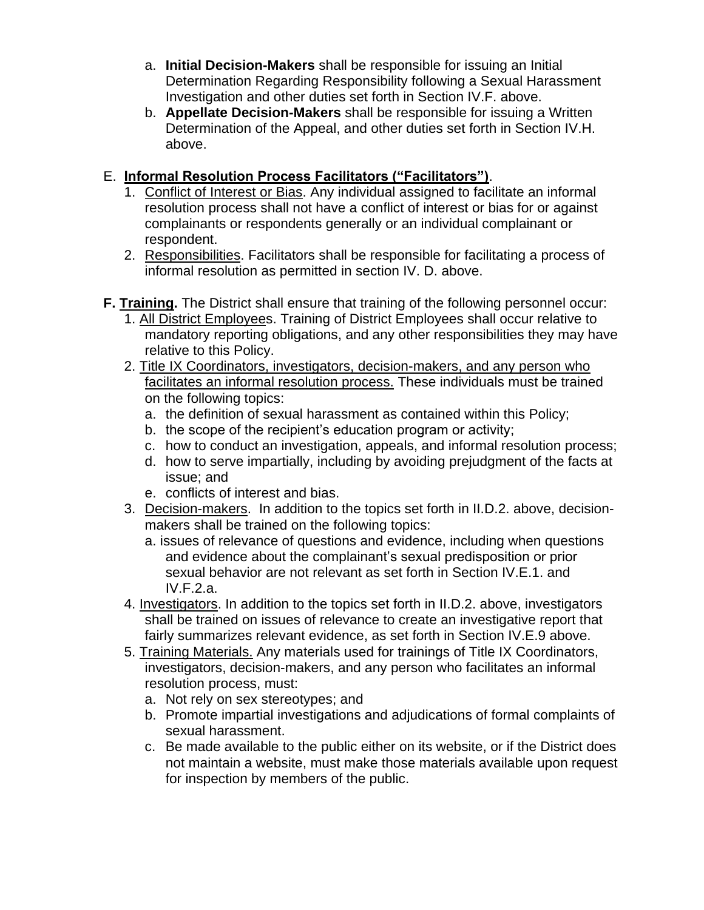- a. **Initial Decision-Makers** shall be responsible for issuing an Initial Determination Regarding Responsibility following a Sexual Harassment Investigation and other duties set forth in Section IV.F. above.
- b. **Appellate Decision-Makers** shall be responsible for issuing a Written Determination of the Appeal, and other duties set forth in Section IV.H. above.

#### E. **Informal Resolution Process Facilitators ("Facilitators")**.

- 1. Conflict of Interest or Bias. Any individual assigned to facilitate an informal resolution process shall not have a conflict of interest or bias for or against complainants or respondents generally or an individual complainant or respondent.
- 2. Responsibilities. Facilitators shall be responsible for facilitating a process of informal resolution as permitted in section IV. D. above.
- **F. Training.** The District shall ensure that training of the following personnel occur:
	- 1. All District Employees. Training of District Employees shall occur relative to mandatory reporting obligations, and any other responsibilities they may have relative to this Policy.
	- 2. Title IX Coordinators, investigators, decision-makers, and any person who facilitates an informal resolution process. These individuals must be trained on the following topics:
		- a. the definition of sexual harassment as contained within this Policy;
		- b. the scope of the recipient's education program or activity;
		- c. how to conduct an investigation, appeals, and informal resolution process;
		- d. how to serve impartially, including by avoiding prejudgment of the facts at issue; and
		- e. conflicts of interest and bias.
	- 3. Decision-makers. In addition to the topics set forth in II.D.2. above, decisionmakers shall be trained on the following topics:
		- a. issues of relevance of questions and evidence, including when questions and evidence about the complainant's sexual predisposition or prior sexual behavior are not relevant as set forth in Section IV.E.1. and IV.F.2.a.
	- 4. Investigators. In addition to the topics set forth in II.D.2. above, investigators shall be trained on issues of relevance to create an investigative report that fairly summarizes relevant evidence, as set forth in Section IV.E.9 above.
	- 5. Training Materials. Any materials used for trainings of Title IX Coordinators, investigators, decision-makers, and any person who facilitates an informal resolution process, must:
		- a. Not rely on sex stereotypes; and
		- b. Promote impartial investigations and adjudications of formal complaints of sexual harassment.
		- c. Be made available to the public either on its website, or if the District does not maintain a website, must make those materials available upon request for inspection by members of the public.